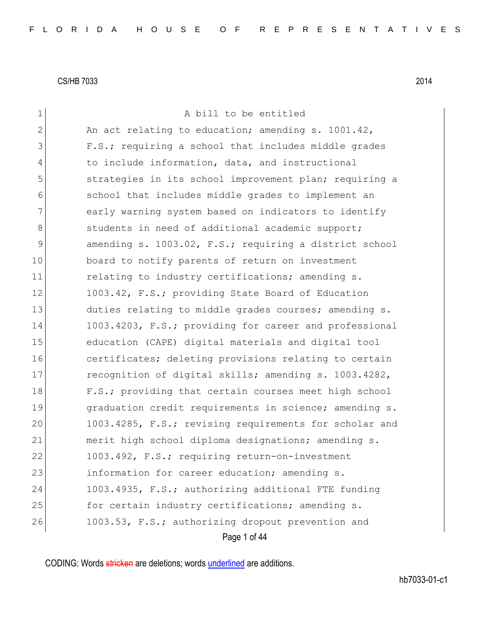| $\mathbf 1$   | A bill to be entitled                                  |
|---------------|--------------------------------------------------------|
| $\mathbf{2}$  | An act relating to education; amending s. 1001.42,     |
| 3             | F.S.; requiring a school that includes middle grades   |
| 4             | to include information, data, and instructional        |
| 5             | strategies in its school improvement plan; requiring a |
| 6             | school that includes middle grades to implement an     |
| 7             | early warning system based on indicators to identify   |
| 8             | students in need of additional academic support;       |
| $\mathcal{G}$ | amending s. 1003.02, F.S.; requiring a district school |
| 10            | board to notify parents of return on investment        |
| 11            | relating to industry certifications; amending s.       |
| 12            | 1003.42, F.S.; providing State Board of Education      |
| 13            | duties relating to middle grades courses; amending s.  |
| 14            | 1003.4203, F.S.; providing for career and professional |
| 15            | education (CAPE) digital materials and digital tool    |
| 16            | certificates; deleting provisions relating to certain  |
| 17            | recognition of digital skills; amending s. 1003.4282,  |
| 18            | F.S.; providing that certain courses meet high school  |
| 19            | graduation credit requirements in science; amending s. |
| 20            | 1003.4285, F.S.; revising requirements for scholar and |
| 21            | merit high school diploma designations; amending s.    |
| 22            | 1003.492, F.S.; requiring return-on-investment         |
| 23            | information for career education; amending s.          |
| 24            | 1003.4935, F.S.; authorizing additional FTE funding    |
| 25            | for certain industry certifications; amending s.       |
| 26            | 1003.53, F.S.; authorizing dropout prevention and      |
|               | Page 1 of 44                                           |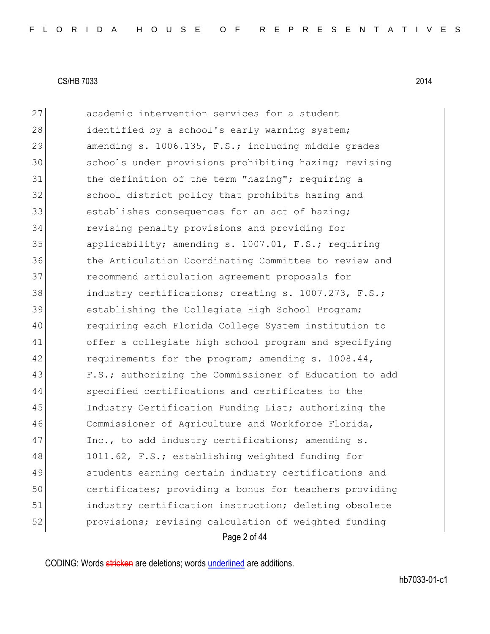|    | Page 2 of 44                                           |
|----|--------------------------------------------------------|
| 52 | provisions; revising calculation of weighted funding   |
| 51 | industry certification instruction; deleting obsolete  |
| 50 | certificates; providing a bonus for teachers providing |
| 49 | students earning certain industry certifications and   |
| 48 | 1011.62, F.S.; establishing weighted funding for       |
| 47 | Inc., to add industry certifications; amending s.      |
| 46 | Commissioner of Agriculture and Workforce Florida,     |
| 45 | Industry Certification Funding List; authorizing the   |
| 44 | specified certifications and certificates to the       |
| 43 | F.S.; authorizing the Commissioner of Education to add |
| 42 | requirements for the program; amending s. 1008.44,     |
| 41 | offer a collegiate high school program and specifying  |
| 40 | requiring each Florida College System institution to   |
| 39 | establishing the Collegiate High School Program;       |
| 38 | industry certifications; creating s. 1007.273, F.S.;   |
| 37 | recommend articulation agreement proposals for         |
| 36 | the Articulation Coordinating Committee to review and  |
| 35 | applicability; amending s. 1007.01, F.S.; requiring    |
| 34 | revising penalty provisions and providing for          |
| 33 | establishes consequences for an act of hazing;         |
| 32 | school district policy that prohibits hazing and       |
| 31 | the definition of the term "hazing"; requiring a       |
| 30 | schools under provisions prohibiting hazing; revising  |
| 29 | amending s. 1006.135, F.S.; including middle grades    |
| 28 | identified by a school's early warning system;         |
| 27 | academic intervention services for a student           |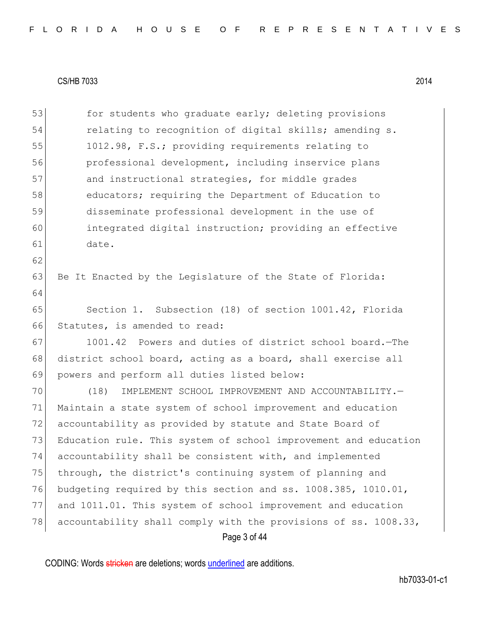62

64

53 for students who graduate early; deleting provisions 54 relating to recognition of digital skills; amending s. 55 1012.98, F.S.; providing requirements relating to 56 professional development, including inservice plans 57 and instructional strategies, for middle grades 58 educators; requiring the Department of Education to 59 disseminate professional development in the use of 60 integrated digital instruction; providing an effective 61 date.

63 Be It Enacted by the Legislature of the State of Florida:

65 Section 1. Subsection (18) of section 1001.42, Florida 66 Statutes, is amended to read:

67 1001.42 Powers and duties of district school board.—The 68 district school board, acting as a board, shall exercise all 69 powers and perform all duties listed below:

Page 3 of 44 (18) IMPLEMENT SCHOOL IMPROVEMENT AND ACCOUNTABILITY.— Maintain a state system of school improvement and education accountability as provided by statute and State Board of Education rule. This system of school improvement and education accountability shall be consistent with, and implemented 75 through, the district's continuing system of planning and budgeting required by this section and ss. 1008.385, 1010.01, and 1011.01. This system of school improvement and education 78 accountability shall comply with the provisions of ss. 1008.33,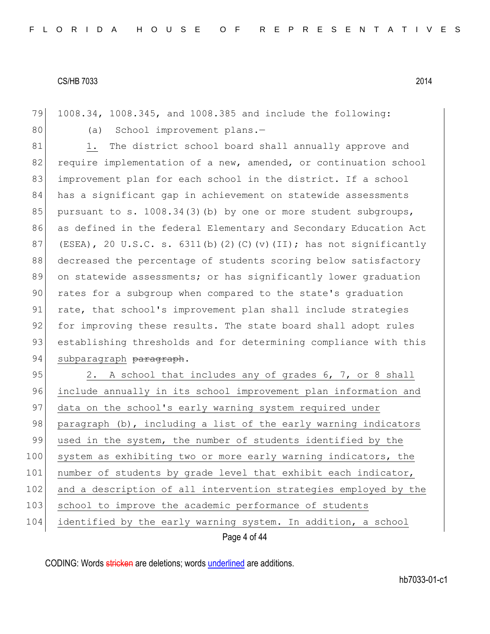79 1008.34, 1008.345, and 1008.385 and include the following:

80 (a) School improvement plans.-

81 1. The district school board shall annually approve and 82 require implementation of a new, amended, or continuation school 83 improvement plan for each school in the district. If a school 84 has a significant gap in achievement on statewide assessments 85 pursuant to s. 1008.34(3)(b) by one or more student subgroups, 86 as defined in the federal Elementary and Secondary Education Act 87 (ESEA), 20 U.S.C. s.  $6311(b)$  (2)(C)(v)(II); has not significantly 88 decreased the percentage of students scoring below satisfactory 89 on statewide assessments; or has significantly lower graduation 90 rates for a subgroup when compared to the state's graduation 91 rate, that school's improvement plan shall include strategies 92 for improving these results. The state board shall adopt rules 93 establishing thresholds and for determining compliance with this 94 subparagraph paragraph.

Page 4 of 44 95 2. A school that includes any of grades 6, 7, or 8 shall 96 include annually in its school improvement plan information and 97 data on the school's early warning system required under 98 paragraph (b), including a list of the early warning indicators 99 used in the system, the number of students identified by the 100 system as exhibiting two or more early warning indicators, the 101 | number of students by grade level that exhibit each indicator, 102 and a description of all intervention strategies employed by the 103 school to improve the academic performance of students 104 identified by the early warning system. In addition, a school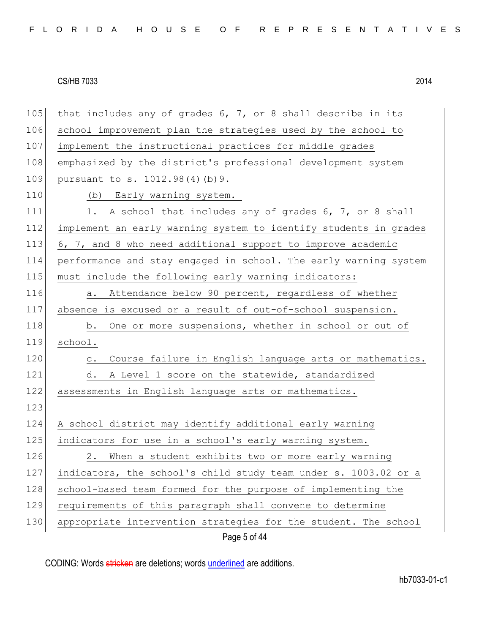Page 5 of 44 105 that includes any of grades  $6, 7,$  or 8 shall describe in its 106 school improvement plan the strategies used by the school to 107 implement the instructional practices for middle grades 108 emphasized by the district's professional development system 109 pursuant to s. 1012.98(4)(b)9. 110 (b) Early warning system.-111 1. A school that includes any of grades 6, 7, or 8 shall 112 implement an early warning system to identify students in grades 113 6, 7, and 8 who need additional support to improve academic 114 performance and stay engaged in school. The early warning system 115 must include the following early warning indicators: 116 a. Attendance below 90 percent, regardless of whether 117 absence is excused or a result of out-of-school suspension. 118 b. One or more suspensions, whether in school or out of 119 school. 120 c. Course failure in English language arts or mathematics. 121 d. A Level 1 score on the statewide, standardized 122 assessments in English language arts or mathematics. 123 124 A school district may identify additional early warning 125 indicators for use in a school's early warning system. 126 2. When a student exhibits two or more early warning 127 indicators, the school's child study team under s. 1003.02 or a 128 school-based team formed for the purpose of implementing the 129 requirements of this paragraph shall convene to determine 130 appropriate intervention strategies for the student. The school

CODING: Words stricken are deletions; words underlined are additions.

hb7033-01-c1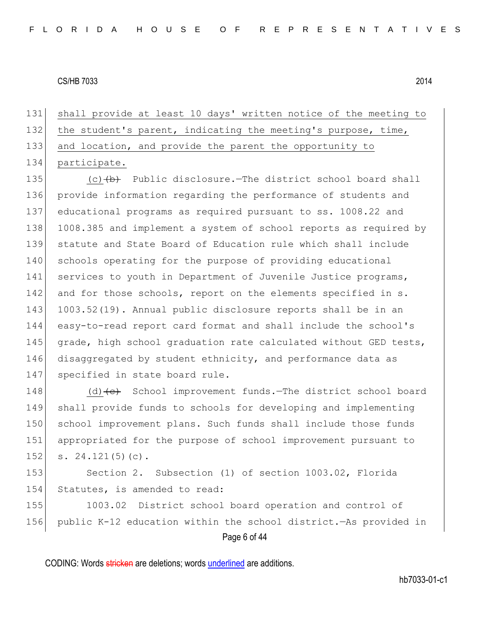shall provide at least 10 days' written notice of the meeting to 132 the student's parent, indicating the meeting's purpose, time, and location, and provide the parent the opportunity to participate.

135 (c) (b) Public disclosure.—The district school board shall 136 provide information regarding the performance of students and 137 educational programs as required pursuant to ss. 1008.22 and 138 1008.385 and implement a system of school reports as required by 139 statute and State Board of Education rule which shall include 140 schools operating for the purpose of providing educational 141 services to youth in Department of Juvenile Justice programs, 142 and for those schools, report on the elements specified in s. 143 1003.52(19). Annual public disclosure reports shall be in an 144 easy-to-read report card format and shall include the school's 145 grade, high school graduation rate calculated without GED tests, 146 disaggregated by student ethnicity, and performance data as 147 specified in state board rule.

148 (d)<del>(c)</del> School improvement funds.—The district school board 149 shall provide funds to schools for developing and implementing 150 school improvement plans. Such funds shall include those funds 151 appropriated for the purpose of school improvement pursuant to 152 s. 24.121(5)(c).

153 Section 2. Subsection (1) of section 1003.02, Florida 154 Statutes, is amended to read:

Page 6 of 44 155 1003.02 District school board operation and control of 156 public K-12 education within the school district.—As provided in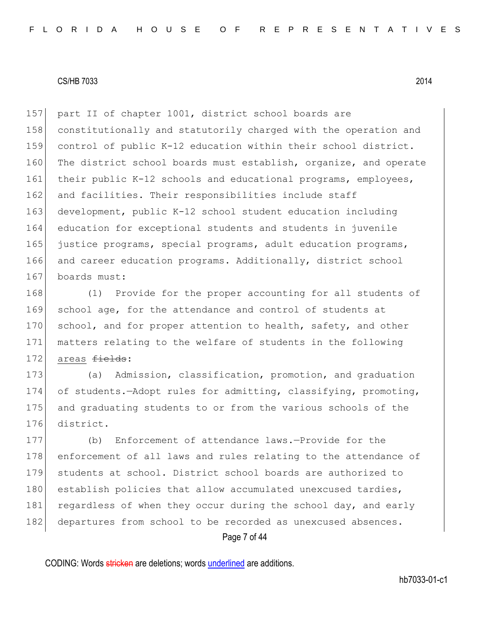157 part II of chapter 1001, district school boards are 158 constitutionally and statutorily charged with the operation and 159 control of public K-12 education within their school district. 160 The district school boards must establish, organize, and operate 161 their public K-12 schools and educational programs, employees, 162 and facilities. Their responsibilities include staff 163 development, public K-12 school student education including 164 education for exceptional students and students in juvenile 165 justice programs, special programs, adult education programs, 166 and career education programs. Additionally, district school 167 boards must:

168 (1) Provide for the proper accounting for all students of 169 school age, for the attendance and control of students at 170 school, and for proper attention to health, safety, and other 171 matters relating to the welfare of students in the following 172 areas fields:

 (a) Admission, classification, promotion, and graduation 174 of students. - Adopt rules for admitting, classifying, promoting, and graduating students to or from the various schools of the district.

177 (b) Enforcement of attendance laws.—Provide for the 178 enforcement of all laws and rules relating to the attendance of 179 students at school. District school boards are authorized to 180 establish policies that allow accumulated unexcused tardies, 181 regardless of when they occur during the school day, and early 182 departures from school to be recorded as unexcused absences.

Page 7 of 44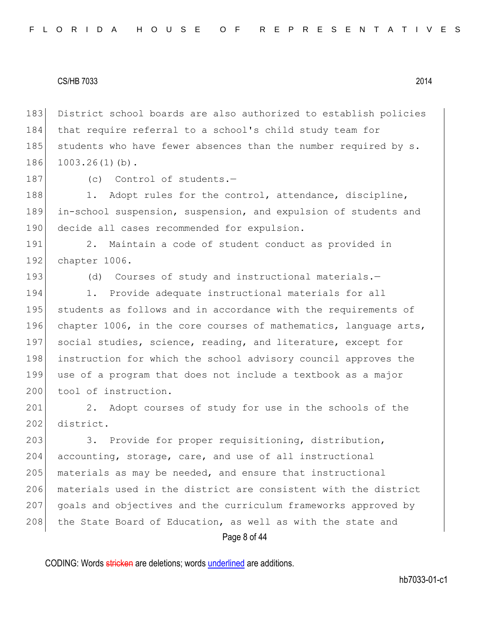183 District school boards are also authorized to establish policies 184 that require referral to a school's child study team for 185 students who have fewer absences than the number required by s. 186 1003.26(1)(b).

187 (c) Control of students.-

188 1. Adopt rules for the control, attendance, discipline, 189 in-school suspension, suspension, and expulsion of students and 190 decide all cases recommended for expulsion.

191 2. Maintain a code of student conduct as provided in 192 chapter 1006.

193 (d) Courses of study and instructional materials.-

194 1. Provide adequate instructional materials for all 195 students as follows and in accordance with the requirements of 196 chapter 1006, in the core courses of mathematics, language arts, 197 social studies, science, reading, and literature, except for 198 instruction for which the school advisory council approves the 199 use of a program that does not include a textbook as a major 200 tool of instruction.

201 2. Adopt courses of study for use in the schools of the 202 district.

203 3. Provide for proper requisitioning, distribution, 204 accounting, storage, care, and use of all instructional 205 materials as may be needed, and ensure that instructional 206 materials used in the district are consistent with the district 207 goals and objectives and the curriculum frameworks approved by 208 the State Board of Education, as well as with the state and

Page 8 of 44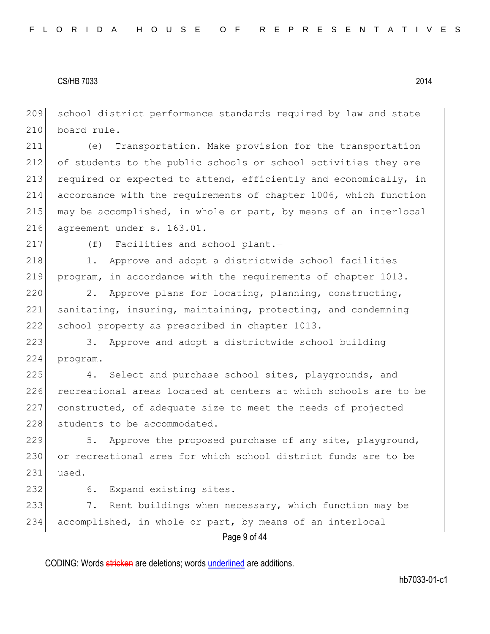209 school district performance standards required by law and state 210 board rule.

211 (e) Transportation.—Make provision for the transportation 212 of students to the public schools or school activities they are 213 required or expected to attend, efficiently and economically, in 214 accordance with the requirements of chapter 1006, which function 215 may be accomplished, in whole or part, by means of an interlocal 216 agreement under s. 163.01.

217 (f) Facilities and school plant.-

218 1. Approve and adopt a districtwide school facilities 219 program, in accordance with the requirements of chapter 1013.

220 2. Approve plans for locating, planning, constructing, 221 sanitating, insuring, maintaining, protecting, and condemning 222 school property as prescribed in chapter 1013.

223 3. Approve and adopt a districtwide school building 224 program.

225 4. Select and purchase school sites, playgrounds, and 226 recreational areas located at centers at which schools are to be 227 constructed, of adequate size to meet the needs of projected 228 students to be accommodated.

229  $\vert$  5. Approve the proposed purchase of any site, playground, 230 or recreational area for which school district funds are to be  $231$  used.

232 6. Expand existing sites.

Page 9 of 44 233 7. Rent buildings when necessary, which function may be 234 accomplished, in whole or part, by means of an interlocal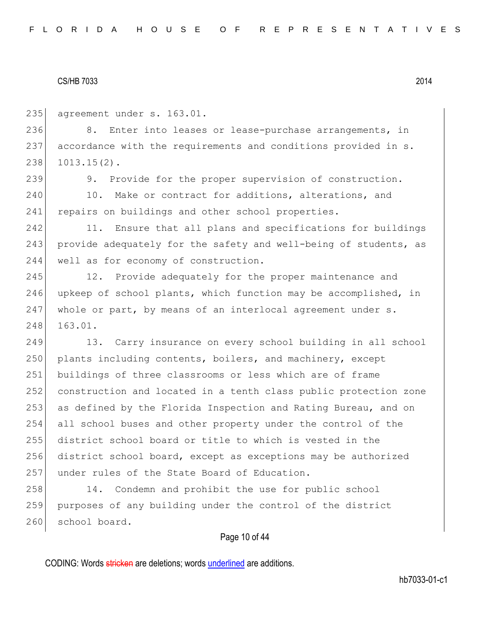235 agreement under s. 163.01.

236 8. Enter into leases or lease-purchase arrangements, in 237 accordance with the requirements and conditions provided in s. 238 1013.15(2).

239 9. Provide for the proper supervision of construction. 240 10. Make or contract for additions, alterations, and 241 repairs on buildings and other school properties.

242 11. Ensure that all plans and specifications for buildings 243 provide adequately for the safety and well-being of students, as 244 well as for economy of construction.

245 12. Provide adequately for the proper maintenance and 246 upkeep of school plants, which function may be accomplished, in  $247$  whole or part, by means of an interlocal agreement under s. 248 163.01.

249 13. Carry insurance on every school building in all school 250 plants including contents, boilers, and machinery, except buildings of three classrooms or less which are of frame construction and located in a tenth class public protection zone as defined by the Florida Inspection and Rating Bureau, and on all school buses and other property under the control of the district school board or title to which is vested in the district school board, except as exceptions may be authorized under rules of the State Board of Education.

258 14. Condemn and prohibit the use for public school 259 purposes of any building under the control of the district 260 school board.

## Page 10 of 44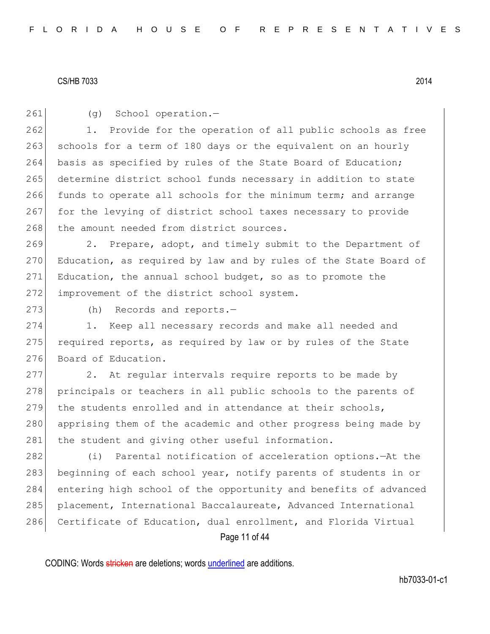261 (g) School operation.-

262 1. Provide for the operation of all public schools as free 263 schools for a term of 180 days or the equivalent on an hourly 264 basis as specified by rules of the State Board of Education; 265 determine district school funds necessary in addition to state 266 funds to operate all schools for the minimum term; and arrange 267 for the levying of district school taxes necessary to provide 268 the amount needed from district sources.

269 2. Prepare, adopt, and timely submit to the Department of 270 Education, as required by law and by rules of the State Board of 271 Education, the annual school budget, so as to promote the 272 improvement of the district school system.

273 (h) Records and reports.-

274 1. Keep all necessary records and make all needed and 275 required reports, as required by law or by rules of the State 276 Board of Education.

277 2. At regular intervals require reports to be made by 278 principals or teachers in all public schools to the parents of 279 the students enrolled and in attendance at their schools, 280 apprising them of the academic and other progress being made by 281 the student and giving other useful information.

282 (i) Parental notification of acceleration options.—At the 283 beginning of each school year, notify parents of students in or 284 entering high school of the opportunity and benefits of advanced 285 placement, International Baccalaureate, Advanced International 286 Certificate of Education, dual enrollment, and Florida Virtual

Page 11 of 44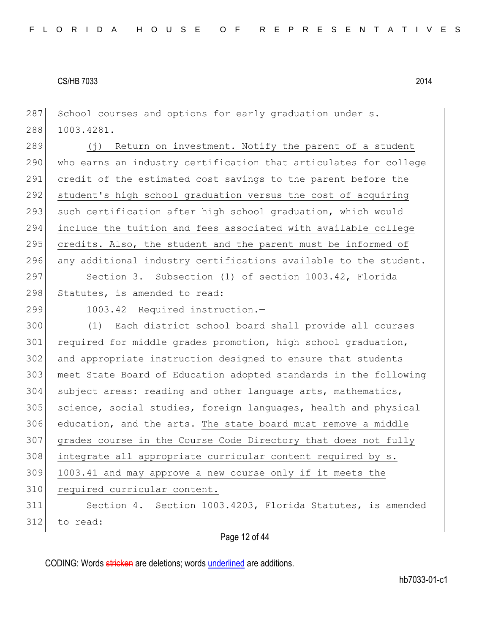287 School courses and options for early graduation under s. 288 1003.4281.

289 (j) Return on investment.—Notify the parent of a student 290 who earns an industry certification that articulates for college 291 credit of the estimated cost savings to the parent before the 292 student's high school graduation versus the cost of acquiring 293 such certification after high school graduation, which would 294 include the tuition and fees associated with available college 295 credits. Also, the student and the parent must be informed of 296 any additional industry certifications available to the student.

297 Section 3. Subsection (1) of section 1003.42, Florida 298 Statutes, is amended to read:

299 1003.42 Required instruction.-

 (1) Each district school board shall provide all courses 301 required for middle grades promotion, high school graduation, and appropriate instruction designed to ensure that students meet State Board of Education adopted standards in the following subject areas: reading and other language arts, mathematics, science, social studies, foreign languages, health and physical education, and the arts. The state board must remove a middle grades course in the Course Code Directory that does not fully 308 integrate all appropriate curricular content required by s. 309 1003.41 and may approve a new course only if it meets the 310 required curricular content. Section 4. Section 1003.4203, Florida Statutes, is amended 312 to read:

Page 12 of 44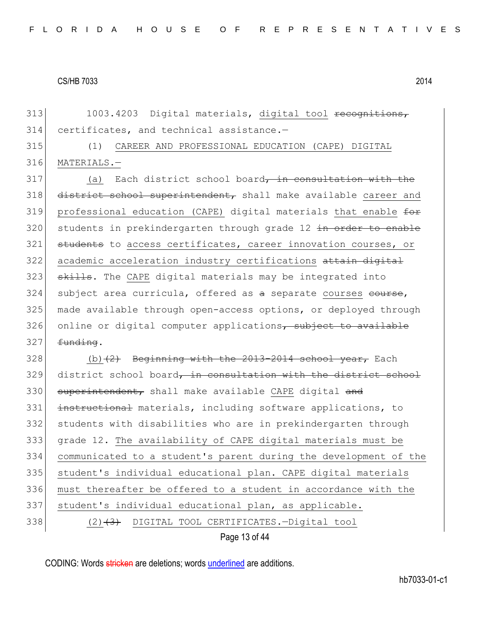313 1003.4203 Digital materials, digital tool recognitions, 314 certificates, and technical assistance.—

315 (1) CAREER AND PROFESSIONAL EDUCATION (CAPE) DIGITAL 316 MATERIALS.—

 $317$  (a) Each district school board, in consultation with the 318 district school superintendent, shall make available career and 319 professional education (CAPE) digital materials that enable for 320 students in prekindergarten through grade 12 in order to enable 321 students to access certificates, career innovation courses, or 322 academic acceleration industry certifications attain digital  $323$  skills. The CAPE digital materials may be integrated into 324 subject area curricula, offered as a separate courses course, 325 made available through open-access options, or deployed through  $326$  online or digital computer applications, subject to available  $327$  funding.

Page 13 of 44  $328$  (b)  $(2)$  Beginning with the 2013-2014 school year, Each 329 district school board, in consultation with the district school 330 superintendent, shall make available CAPE digital and 331 instructional materials, including software applications, to 332 students with disabilities who are in prekindergarten through 333 grade 12. The availability of CAPE digital materials must be 334 communicated to a student's parent during the development of the 335 student's individual educational plan. CAPE digital materials 336 must thereafter be offered to a student in accordance with the 337 | student's individual educational plan, as applicable. 338 (2)<del>(3)</del> DIGITAL TOOL CERTIFICATES.—Digital tool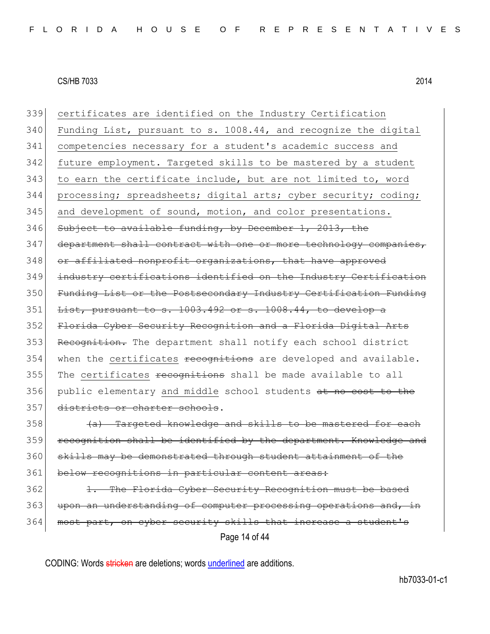Page 14 of 44 339 certificates are identified on the Industry Certification 340 Funding List, pursuant to s. 1008.44, and recognize the digital 341 competencies necessary for a student's academic success and 342 future employment. Targeted skills to be mastered by a student 343 to earn the certificate include, but are not limited to, word 344 processing; spreadsheets; digital arts; cyber security; coding; 345 and development of sound, motion, and color presentations. 346 Subject to available funding, by December 1, 2013, the 347 department shall contract with one or more technology companies, 348 or affiliated nonprofit organizations, that have approved 349 industry certifications identified on the Industry Certification 350 Funding List or the Postsecondary Industry Certification Funding  $351$  List, pursuant to s.  $1003.492$  or s.  $1008.44$ , to develop a 352 Florida Cyber Security Recognition and a Florida Digital Arts 353 Recognition. The department shall notify each school district 354 when the certificates recognitions are developed and available. 355 The certificates recognitions shall be made available to all 356 public elementary and middle school students at no cost to the 357 districts or charter schools.  $358$  (a) Targeted knowledge and skills to be mastered for each 359 recognition shall be identified by the department. Knowledge 360 skills may be demonstrated through student attainment of the 361 below recognitions in particular content areas: 362 1. The Florida Cyber Security Recognition must be based 363 upon an understanding of computer processing operations and, in 364 most part, on cyber security skills that increase a student's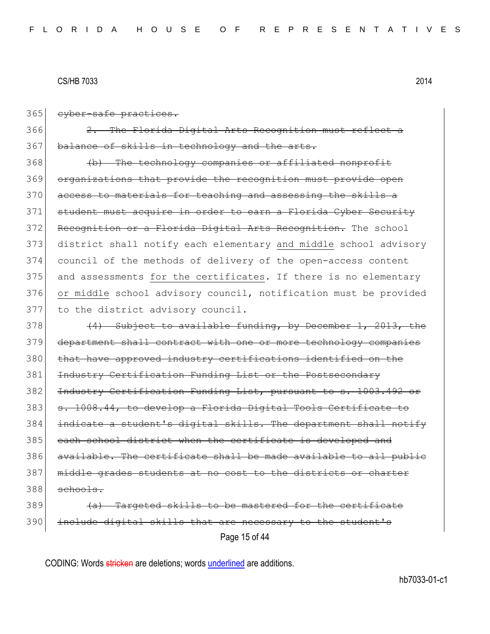365 cyber-safe practices. 366 2. The Florida Digital Arts Recognition must reflect 367 balance of skills in technology and the arts. 368 (b) The technology companies or affiliated nonprofit 369 organizations that provide the recognition must provide open 370 access to materials for teaching and assessing the skills a 371 student must acquire in order to earn a Florida Cyber Security 372 Recognition or a Florida Digital Arts Recognition. The school 373 district shall notify each elementary and middle school advisory 374 council of the methods of delivery of the open-access content 375 and assessments for the certificates. If there is no elementary 376 or middle school advisory council, notification must be provided 377 to the district advisory council. 378  $(4)$  Subject to available funding, by December 1, 2013, the 379 department shall contract with one or more technology companies 380 that have approved industry certifications identified on the 381 Industry Certification Funding List or the Postsecondary 382 Industry Certification Funding List, pursuant to s. 1003.492 or 383 s. 1008.44, to develop a Florida Digital Tools Certificate to 384 indicate a student's digital skills. The department shall notify 385 each school district when the certificate is developed and 386 available. The certificate shall be made available to all public 387 middle grades students at no cost to the districts or charter 388 schools.  $389$  (a) Targeted skills to be mastered for the certificate 390 include digital skills that are necessary to the student's

Page 15 of 44

CODING: Words stricken are deletions; words underlined are additions.

hb7033-01-c1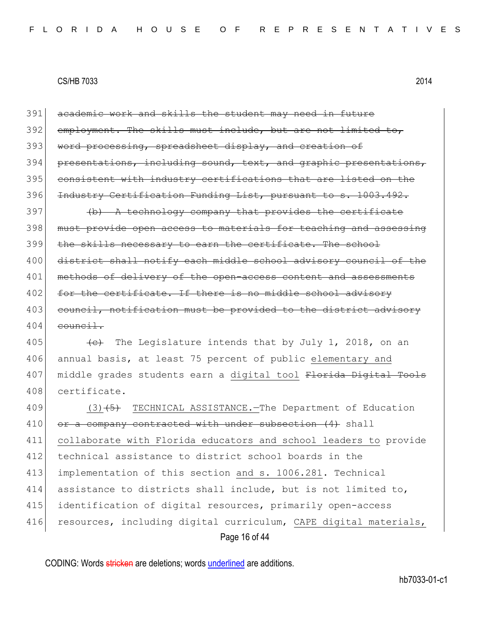Page 16 of 44 391 academic work and skills the student may need in future 392 employment. The skills must include, but are not limited to, 393 word processing, spreadsheet display, and creation of 394 presentations, including sound, text, and graphic presentations, 395 consistent with industry certifications that are listed on the 396 Industry Certification Funding List, pursuant to s. 1003.492.  $397$  (b) A technology company that provides the certificate 398 must provide open access to materials for teaching and assessing 399 the skills necessary to earn the certificate. The school 400 district shall notify each middle school advisory council of the 401 methods of delivery of the open-access content and assessments 402 for the certificate. If there is no middle school advisory 403 council, notification must be provided to the district advisory  $404$  council. 405  $\left\{\leftarrow\right\}$  The Legislature intends that by July 1, 2018, on an 406 annual basis, at least 75 percent of public elementary and 407 middle grades students earn a digital tool Florida Digital Tools 408 certificate. 409 (3)<del>(5)</del> TECHNICAL ASSISTANCE.—The Department of Education  $410$  or a company contracted with under subsection  $(4)$  shall 411 collaborate with Florida educators and school leaders to provide 412 technical assistance to district school boards in the 413 implementation of this section and s. 1006.281. Technical 414 assistance to districts shall include, but is not limited to, 415 identification of digital resources, primarily open-access 416 resources, including digital curriculum, CAPE digital materials,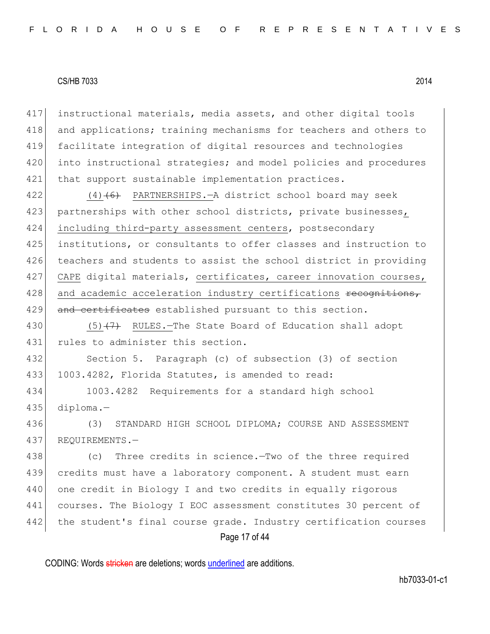417 instructional materials, media assets, and other digital tools 418 and applications; training mechanisms for teachers and others to 419 facilitate integration of digital resources and technologies 420 into instructional strategies; and model policies and procedures 421 that support sustainable implementation practices.

422 (4)<del>(6)</del> PARTNERSHIPS.—A district school board may seek 423 partnerships with other school districts, private businesses, 424 including third-party assessment centers, postsecondary 425 institutions, or consultants to offer classes and instruction to 426 teachers and students to assist the school district in providing 427 CAPE digital materials, certificates, career innovation courses, 428 and academic acceleration industry certifications recognitions, 429 and certificates established pursuant to this section.

430  $(5)$   $(7)$  RULES.—The State Board of Education shall adopt 431 rules to administer this section.

432 Section 5. Paragraph (c) of subsection (3) of section 433 1003.4282, Florida Statutes, is amended to read:

434 1003.4282 Requirements for a standard high school 435 diploma.—

436 (3) STANDARD HIGH SCHOOL DIPLOMA; COURSE AND ASSESSMENT 437 REQUIREMENTS.—

Page 17 of 44 438 (c) Three credits in science.—Two of the three required 439 credits must have a laboratory component. A student must earn 440 one credit in Biology I and two credits in equally rigorous 441 courses. The Biology I EOC assessment constitutes 30 percent of 442 the student's final course grade. Industry certification courses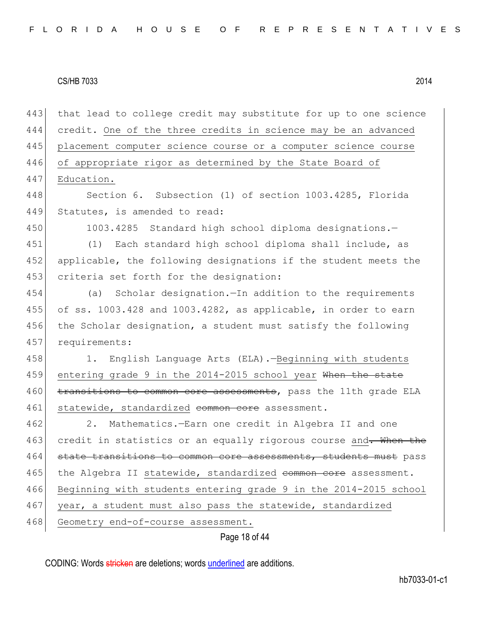Page 18 of 44 443 that lead to college credit may substitute for up to one science 444 credit. One of the three credits in science may be an advanced 445 placement computer science course or a computer science course 446 of appropriate rigor as determined by the State Board of 447 Education. 448 Section 6. Subsection (1) of section 1003.4285, Florida 449 Statutes, is amended to read: 450 1003.4285 Standard high school diploma designations.-451 (1) Each standard high school diploma shall include, as 452 applicable, the following designations if the student meets the 453 criteria set forth for the designation: 454 (a) Scholar designation.—In addition to the requirements 455 of ss. 1003.428 and 1003.4282, as applicable, in order to earn 456 the Scholar designation, a student must satisfy the following 457 requirements: 458 1. English Language Arts (ELA).-Beginning with students 459 entering grade 9 in the 2014-2015 school year When the state 460 transitions to common core assessments, pass the 11th grade ELA 461 statewide, standardized common core assessment. 462 2. Mathematics.—Earn one credit in Algebra II and one 463 credit in statistics or an equally rigorous course and. When the 464 state transitions to common core assessments, students must pass 465 the Algebra II statewide, standardized common core assessment. 466 Beginning with students entering grade 9 in the 2014-2015 school 467 year, a student must also pass the statewide, standardized 468 Geometry end-of-course assessment.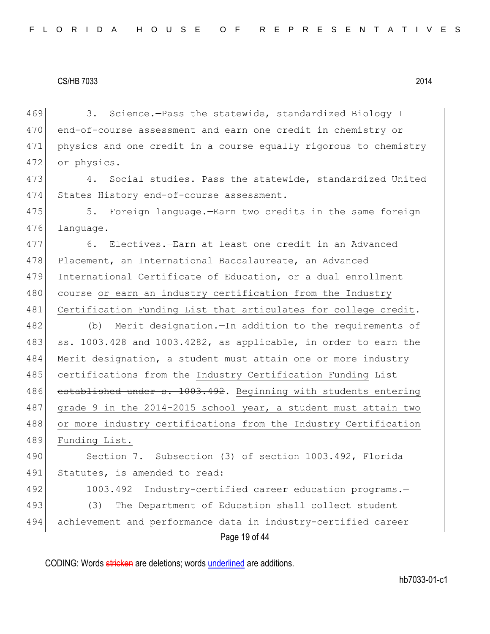469 3. Science.—Pass the statewide, standardized Biology I 470 end-of-course assessment and earn one credit in chemistry or 471 physics and one credit in a course equally rigorous to chemistry 472 or physics. 473 4. Social studies.—Pass the statewide, standardized United 474 States History end-of-course assessment. 475 5. Foreign language.—Earn two credits in the same foreign 476 language. 477 6. Electives.—Earn at least one credit in an Advanced 478 Placement, an International Baccalaureate, an Advanced 479 International Certificate of Education, or a dual enrollment 480 course or earn an industry certification from the Industry 481 Certification Funding List that articulates for college credit. 482 (b) Merit designation. - In addition to the requirements of 483 ss. 1003.428 and 1003.4282, as applicable, in order to earn the 484 Merit designation, a student must attain one or more industry 485 certifications from the Industry Certification Funding List 486 established under s. 1003.492. Beginning with students entering 487 grade 9 in the 2014-2015 school year, a student must attain two 488 or more industry certifications from the Industry Certification 489 Funding List. 490 Section 7. Subsection (3) of section 1003.492, Florida 491 Statutes, is amended to read: 492 1003.492 Industry-certified career education programs.-

Page 19 of 44 493 (3) The Department of Education shall collect student 494 achievement and performance data in industry-certified career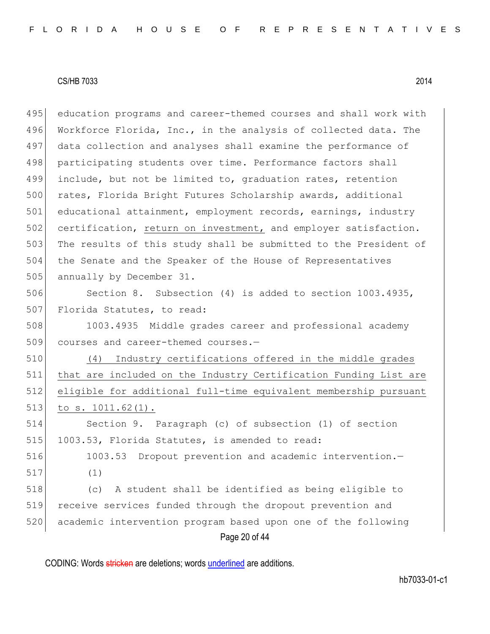495 education programs and career-themed courses and shall work with 496 Workforce Florida, Inc., in the analysis of collected data. The 497 data collection and analyses shall examine the performance of 498 participating students over time. Performance factors shall 499 include, but not be limited to, graduation rates, retention 500 rates, Florida Bright Futures Scholarship awards, additional 501 educational attainment, employment records, earnings, industry 502 certification, return on investment, and employer satisfaction. 503 The results of this study shall be submitted to the President of 504 the Senate and the Speaker of the House of Representatives 505 annually by December 31.

506 Section 8. Subsection (4) is added to section 1003.4935, 507 Florida Statutes, to read:

508 1003.4935 Middle grades career and professional academy 509 courses and career-themed courses.-

 (4) Industry certifications offered in the middle grades that are included on the Industry Certification Funding List are eligible for additional full-time equivalent membership pursuant to s. 1011.62(1).

514 Section 9. Paragraph (c) of subsection (1) of section 515 1003.53, Florida Statutes, is amended to read:

516 1003.53 Dropout prevention and academic intervention.  $517$  (1)

Page 20 of 44 (c) A student shall be identified as being eligible to receive services funded through the dropout prevention and academic intervention program based upon one of the following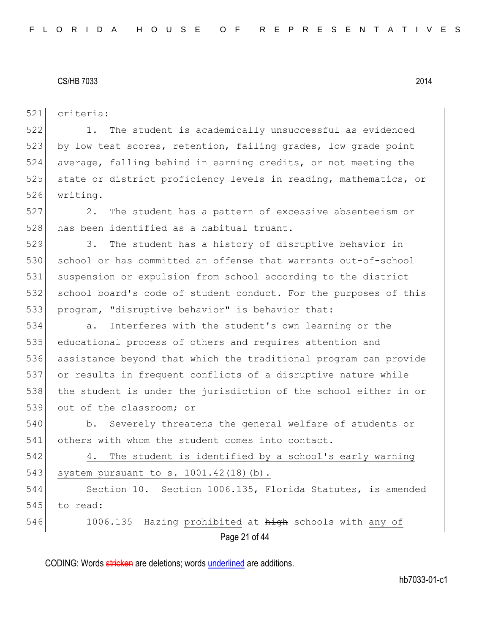521 criteria:

522 1. The student is academically unsuccessful as evidenced 523 by low test scores, retention, failing grades, low grade point 524 average, falling behind in earning credits, or not meeting the 525 state or district proficiency levels in reading, mathematics, or 526 writing.

527 2. The student has a pattern of excessive absenteeism or 528 has been identified as a habitual truant.

529 3. The student has a history of disruptive behavior in 530 school or has committed an offense that warrants out-of-school 531 suspension or expulsion from school according to the district 532 school board's code of student conduct. For the purposes of this 533 program, "disruptive behavior" is behavior that:

 a. Interferes with the student's own learning or the educational process of others and requires attention and assistance beyond that which the traditional program can provide or results in frequent conflicts of a disruptive nature while the student is under the jurisdiction of the school either in or 539 out of the classroom; or

540 b. Severely threatens the general welfare of students or 541 others with whom the student comes into contact.

542 4. The student is identified by a school's early warning 543 system pursuant to s. 1001.42(18)(b).

544 Section 10. Section 1006.135, Florida Statutes, is amended 545 to read:

Page 21 of 44 546 1006.135 Hazing prohibited at high schools with any of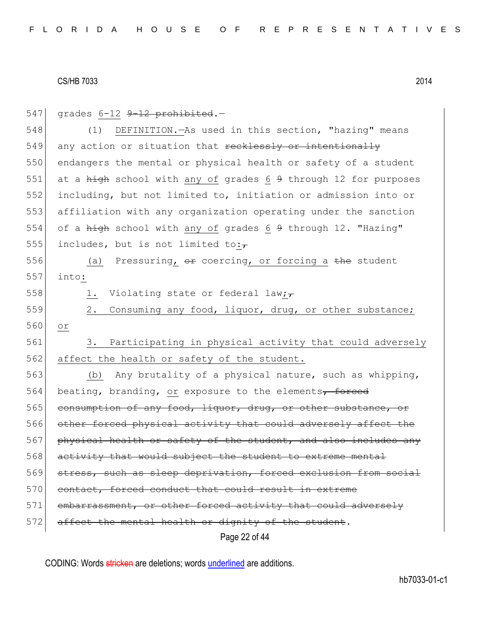| 547 | grades 6-12 9-12 prohibited.-                                   |
|-----|-----------------------------------------------------------------|
| 548 | DEFINITION. - As used in this section, "hazing" means<br>(1)    |
| 549 | any action or situation that recklessly or intentionally        |
| 550 | endangers the mental or physical health or safety of a student  |
| 551 | at a high school with any of grades 6 9 through 12 for purposes |
| 552 | including, but not limited to, initiation or admission into or  |
| 553 | affiliation with any organization operating under the sanction  |
| 554 | of a high school with any of grades 6 9 through 12. "Hazing"    |
| 555 | includes, but is not limited to: $\overline{z}$                 |
| 556 | (a) Pressuring, or coercing, or forcing a the student           |
| 557 | into:                                                           |
| 558 | Violating state or federal law;<br>1.                           |
| 559 | 2.<br>Consuming any food, liquor, drug, or other substance;     |
| 560 | or                                                              |
| 561 | 3. Participating in physical activity that could adversely      |
| 562 | affect the health or safety of the student.                     |
| 563 | Any brutality of a physical nature, such as whipping,<br>(b)    |
| 564 | beating, branding, or exposure to the elements, forced          |
| 565 | consumption of any food, liquor, drug, or other substance, or   |
| 566 | other forced physical activity that could adversely affect the  |
| 567 | physical health or safety of the student, and also includes any |
| 568 | activity that would subject the student to extreme mental       |
| 569 | stress, such as sleep deprivation, forced exclusion from social |
| 570 | contact, forced conduct that could result in extreme            |
| 571 | embarrassment, or other forced activity that could adversely    |
| 572 | affect the mental health or dignity of the student.             |
|     | Page 22 of 44                                                   |

CODING: Words stricken are deletions; words underlined are additions.

hb7033-01-c1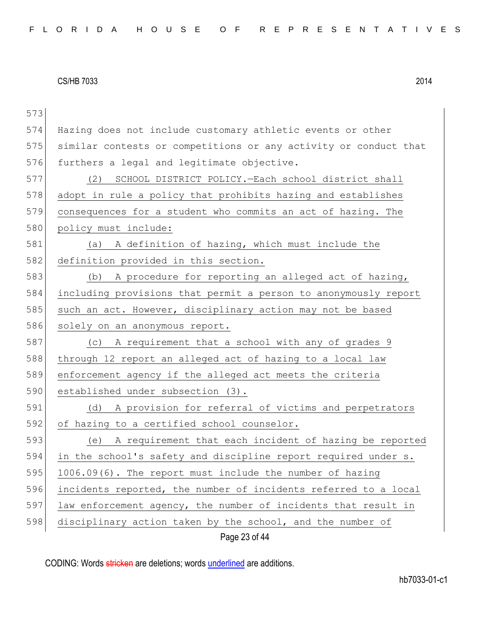| 573 |                                                                  |
|-----|------------------------------------------------------------------|
| 574 | Hazing does not include customary athletic events or other       |
| 575 | similar contests or competitions or any activity or conduct that |
| 576 | furthers a legal and legitimate objective.                       |
| 577 | SCHOOL DISTRICT POLICY. - Each school district shall<br>(2)      |
| 578 | adopt in rule a policy that prohibits hazing and establishes     |
| 579 | consequences for a student who commits an act of hazing. The     |
| 580 | policy must include:                                             |
| 581 | A definition of hazing, which must include the<br>(a)            |
| 582 | definition provided in this section.                             |
| 583 | A procedure for reporting an alleged act of hazing,<br>(b)       |
| 584 | including provisions that permit a person to anonymously report  |
| 585 | such an act. However, disciplinary action may not be based       |
| 586 | solely on an anonymous report.                                   |
| 587 | A requirement that a school with any of grades 9<br>(C)          |
| 588 | through 12 report an alleged act of hazing to a local law        |
| 589 | enforcement agency if the alleged act meets the criteria         |
| 590 | established under subsection (3).                                |
| 591 | A provision for referral of victims and perpetrators<br>(d)      |
| 592 | of hazing to a certified school counselor.                       |
| 593 | A requirement that each incident of hazing be reported<br>(e)    |
| 594 | in the school's safety and discipline report required under s.   |
| 595 | 1006.09(6). The report must include the number of hazing         |
| 596 | incidents reported, the number of incidents referred to a local  |
| 597 | law enforcement agency, the number of incidents that result in   |
| 598 | disciplinary action taken by the school, and the number of       |
|     | Page 23 of 44                                                    |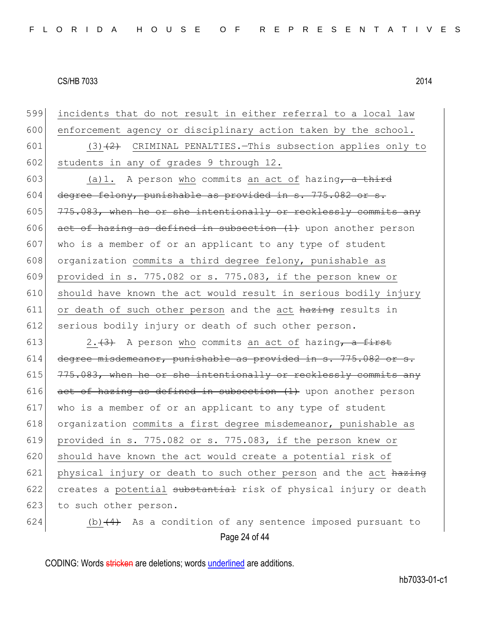599 incidents that do not result in either referral to a local law 600 enforcement agency or disciplinary action taken by the school. 601 (3) $(2)$  CRIMINAL PENALTIES. This subsection applies only to 602 students in any of grades 9 through 12. 603 (a)1. A person who commits an act of hazing, a third 604 degree felony, punishable as provided in  $s. 775.082$  or  $s.$ 605  $\mid$  775.083, when he or she intentionally or recklessly commits any 606 act of hazing as defined in subsection  $(1)$  upon another person 607 who is a member of or an applicant to any type of student 608 organization commits a third degree felony, punishable as 609 provided in s. 775.082 or s. 775.083, if the person knew or 610 should have known the act would result in serious bodily injury  $611$  or death of such other person and the act hazing results in 612 serious bodily injury or death of such other person. 613  $\left| \frac{2 \cdot (3)}{2 \cdot 4} \right|$  A person who commits an act of hazing, a first 614 degree misdemeanor, punishable as provided in s. 775.082 or s. 615  $775.083$ , when he or she intentionally or recklessly commits any 616  $\sigma$  act of hazing as defined in subsection (1) upon another person 617 who is a member of or an applicant to any type of student 618 organization commits a first degree misdemeanor, punishable as 619 provided in s. 775.082 or s. 775.083, if the person knew or 620 should have known the act would create a potential risk of 621 physical injury or death to such other person and the act  $h$ azing 622 creates a potential substantial risk of physical injury or death 623 to such other person. 624 (b) $(4)$  As a condition of any sentence imposed pursuant to

Page 24 of 44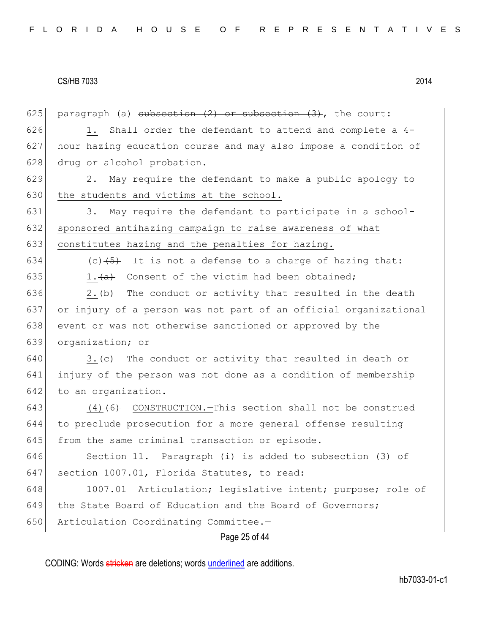Page 25 of 44 625 paragraph (a) subsection  $(2)$  or subsection  $(3)$ , the court:  $626$  1. Shall order the defendant to attend and complete a 4-627 hour hazing education course and may also impose a condition of 628 drug or alcohol probation. 629 2. May require the defendant to make a public apology to 630 the students and victims at the school. 631 3. May require the defendant to participate in a school-632 sponsored antihazing campaign to raise awareness of what 633 constitutes hazing and the penalties for hazing. 634 (c) $(5)$  It is not a defense to a charge of hazing that: 635 1. $\frac{a}{a}$  Consent of the victim had been obtained; 636 2. $\leftrightarrow$  The conduct or activity that resulted in the death 637 or injury of a person was not part of an official organizational 638 event or was not otherwise sanctioned or approved by the 639 organization; or  $640$  3. (e) The conduct or activity that resulted in death or 641 injury of the person was not done as a condition of membership 642 to an organization. 643  $(4)$  (6) CONSTRUCTION. This section shall not be construed 644 to preclude prosecution for a more general offense resulting 645 from the same criminal transaction or episode. 646 Section 11. Paragraph (i) is added to subsection (3) of 647 section 1007.01, Florida Statutes, to read: 648 1007.01 Articulation; legislative intent; purpose; role of 649 the State Board of Education and the Board of Governors; 650 Articulation Coordinating Committee.-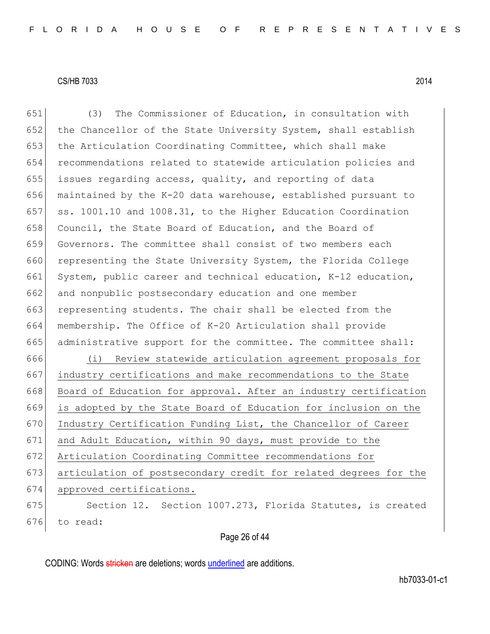Page 26 of 44 651 (3) The Commissioner of Education, in consultation with 652 the Chancellor of the State University System, shall establish 653 the Articulation Coordinating Committee, which shall make 654 recommendations related to statewide articulation policies and 655 issues regarding access, quality, and reporting of data 656 maintained by the K-20 data warehouse, established pursuant to 657 ss. 1001.10 and 1008.31, to the Higher Education Coordination 658 Council, the State Board of Education, and the Board of 659 Governors. The committee shall consist of two members each 660 representing the State University System, the Florida College 661 System, public career and technical education, K-12 education, 662 and nonpublic postsecondary education and one member 663 representing students. The chair shall be elected from the 664 membership. The Office of K-20 Articulation shall provide 665 administrative support for the committee. The committee shall: 666 (i) Review statewide articulation agreement proposals for 667 industry certifications and make recommendations to the State 668 Board of Education for approval. After an industry certification 669 is adopted by the State Board of Education for inclusion on the 670 Industry Certification Funding List, the Chancellor of Career 671 and Adult Education, within 90 days, must provide to the 672 Articulation Coordinating Committee recommendations for 673 articulation of postsecondary credit for related degrees for the 674 approved certifications. 675 Section 12. Section 1007.273, Florida Statutes, is created 676 to read: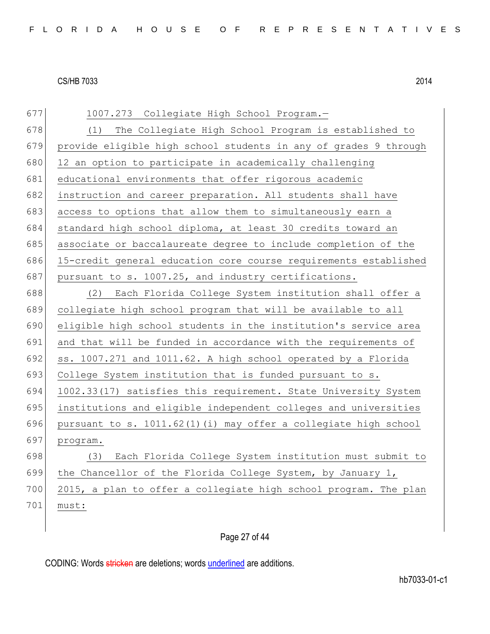| 677 | 1007.273 Collegiate High School Program.-                        |
|-----|------------------------------------------------------------------|
| 678 | The Collegiate High School Program is established to<br>(1)      |
| 679 | provide eligible high school students in any of grades 9 through |
| 680 | 12 an option to participate in academically challenging          |
| 681 | educational environments that offer rigorous academic            |
| 682 | instruction and career preparation. All students shall have      |
| 683 | access to options that allow them to simultaneously earn a       |
| 684 | standard high school diploma, at least 30 credits toward an      |
| 685 | associate or baccalaureate degree to include completion of the   |
| 686 | 15-credit general education core course requirements established |
| 687 | pursuant to s. 1007.25, and industry certifications.             |
| 688 | Each Florida College System institution shall offer a<br>(2)     |
| 689 | collegiate high school program that will be available to all     |
| 690 | eligible high school students in the institution's service area  |
| 691 | and that will be funded in accordance with the requirements of   |
| 692 | ss. 1007.271 and 1011.62. A high school operated by a Florida    |
| 693 | College System institution that is funded pursuant to s.         |
| 694 | 1002.33(17) satisfies this requirement. State University System  |
| 695 | institutions and eligible independent colleges and universities  |
| 696 | pursuant to s. 1011.62(1)(i) may offer a collegiate high school  |
| 697 | program.                                                         |
| 698 | Each Florida College System institution must submit to<br>(3)    |
| 699 | the Chancellor of the Florida College System, by January 1,      |
| 700 | 2015, a plan to offer a collegiate high school program. The plan |
| 701 | must:                                                            |

# Page 27 of 44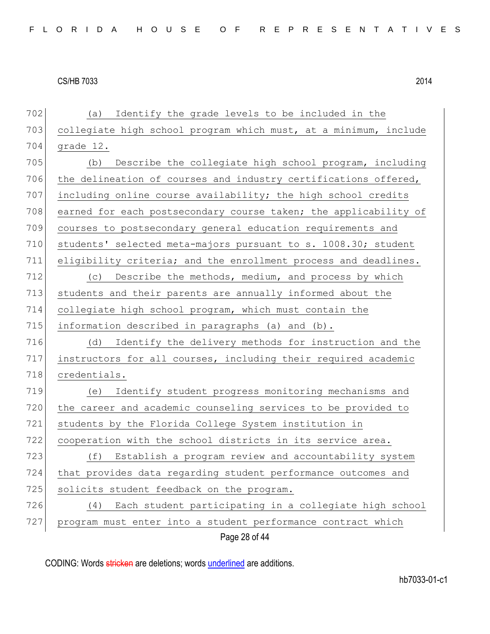| 702 | Identify the grade levels to be included in the<br>(a)           |
|-----|------------------------------------------------------------------|
| 703 | collegiate high school program which must, at a minimum, include |
| 704 | grade 12.                                                        |
| 705 | Describe the collegiate high school program, including<br>(b)    |
| 706 | the delineation of courses and industry certifications offered,  |
| 707 | including online course availability; the high school credits    |
| 708 | earned for each postsecondary course taken; the applicability of |
| 709 | courses to postsecondary general education requirements and      |
| 710 | students' selected meta-majors pursuant to s. 1008.30; student   |
| 711 | eligibility criteria; and the enrollment process and deadlines.  |
| 712 | Describe the methods, medium, and process by which<br>(C)        |
| 713 | students and their parents are annually informed about the       |
| 714 | collegiate high school program, which must contain the           |
| 715 | information described in paragraphs (a) and (b).                 |
| 716 | Identify the delivery methods for instruction and the<br>(d)     |
| 717 | instructors for all courses, including their required academic   |
| 718 | credentials.                                                     |
| 719 | Identify student progress monitoring mechanisms and<br>(e)       |
| 720 | the career and academic counseling services to be provided to    |
| 721 | students by the Florida College System institution in            |
| 722 | cooperation with the school districts in its service area.       |
| 723 | Establish a program review and accountability system<br>(f)      |
| 724 | that provides data regarding student performance outcomes and    |
| 725 | solicits student feedback on the program.                        |
| 726 | Each student participating in a collegiate high school<br>(4)    |
| 727 | program must enter into a student performance contract which     |
|     | Page 28 of 44                                                    |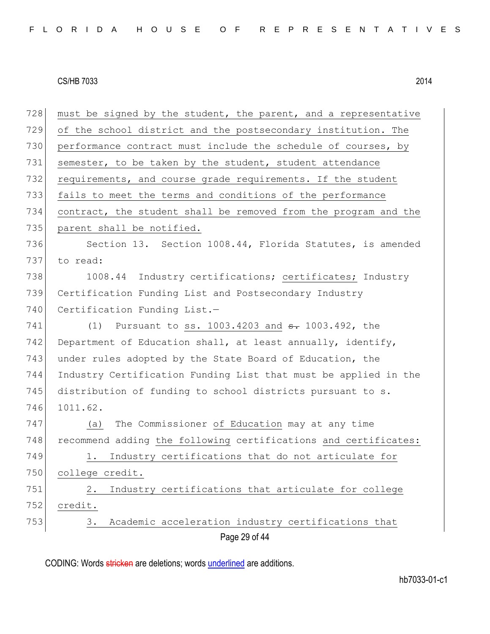| 728 | must be signed by the student, the parent, and a representative       |
|-----|-----------------------------------------------------------------------|
| 729 | of the school district and the postsecondary institution. The         |
| 730 | performance contract must include the schedule of courses, by         |
| 731 | semester, to be taken by the student, student attendance              |
| 732 | requirements, and course grade requirements. If the student           |
| 733 | fails to meet the terms and conditions of the performance             |
| 734 | contract, the student shall be removed from the program and the       |
| 735 | parent shall be notified.                                             |
| 736 | Section 13. Section 1008.44, Florida Statutes, is amended             |
| 737 | to read:                                                              |
| 738 | 1008.44 Industry certifications; certificates; Industry               |
| 739 | Certification Funding List and Postsecondary Industry                 |
| 740 | Certification Funding List.-                                          |
| 741 | (1) Pursuant to ss. $1003.4203$ and $\frac{1003.492}{1003.492}$ , the |
| 742 | Department of Education shall, at least annually, identify,           |
| 743 | under rules adopted by the State Board of Education, the              |
| 744 | Industry Certification Funding List that must be applied in the       |
| 745 | distribution of funding to school districts pursuant to s.            |
| 746 | 1011.62.                                                              |
| 747 | The Commissioner of Education may at any time<br>(a)                  |
| 748 | recommend adding the following certifications and certificates:       |
| 749 | Industry certifications that do not articulate for<br>1.              |
| 750 | college credit.                                                       |
| 751 | Industry certifications that articulate for college<br>2.             |
| 752 | credit.                                                               |
| 753 | Academic acceleration industry certifications that<br>3.              |
|     | Page 29 of 44                                                         |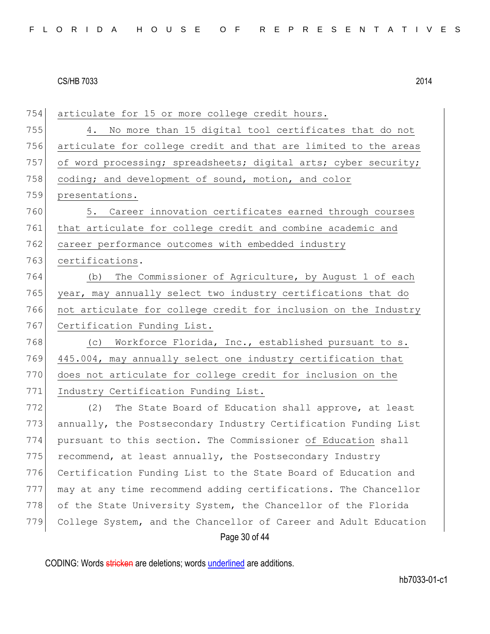Page 30 of 44 754 articulate for 15 or more college credit hours. 755 4. No more than 15 digital tool certificates that do not 756 articulate for college credit and that are limited to the areas 757 of word processing; spreadsheets; digital arts; cyber security; 758 coding; and development of sound, motion, and color 759 presentations. 760 5. Career innovation certificates earned through courses 761 that articulate for college credit and combine academic and 762 career performance outcomes with embedded industry 763 certifications. 764 (b) The Commissioner of Agriculture, by August 1 of each 765 year, may annually select two industry certifications that do 766 not articulate for college credit for inclusion on the Industry 767 Certification Funding List. 768 (c) Workforce Florida, Inc., established pursuant to s. 769 445.004, may annually select one industry certification that 770 does not articulate for college credit for inclusion on the 771 Industry Certification Funding List. 772 (2) The State Board of Education shall approve, at least 773 annually, the Postsecondary Industry Certification Funding List 774 pursuant to this section. The Commissioner of Education shall  $775$  recommend, at least annually, the Postsecondary Industry 776 Certification Funding List to the State Board of Education and 777 may at any time recommend adding certifications. The Chancellor 778 of the State University System, the Chancellor of the Florida 779 College System, and the Chancellor of Career and Adult Education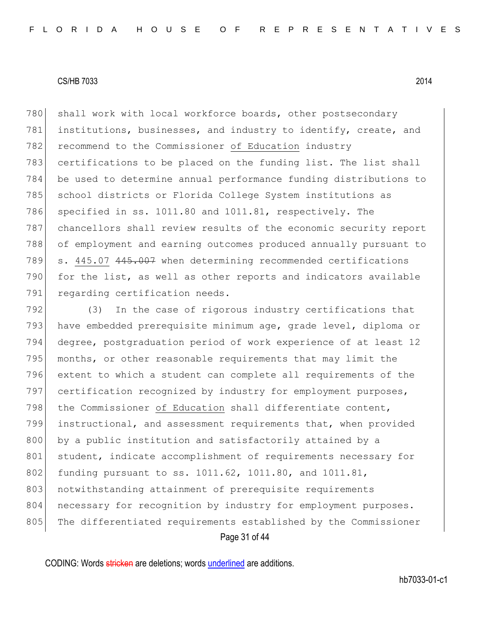780 shall work with local workforce boards, other postsecondary 781 institutions, businesses, and industry to identify, create, and 782 recommend to the Commissioner of Education industry 783 certifications to be placed on the funding list. The list shall 784 be used to determine annual performance funding distributions to 785 school districts or Florida College System institutions as 786 specified in ss. 1011.80 and 1011.81, respectively. The 787 chancellors shall review results of the economic security report 788 of employment and earning outcomes produced annually pursuant to 789 s. 445.07 445.007 when determining recommended certifications 790 for the list, as well as other reports and indicators available 791 regarding certification needs.

Page 31 of 44 792 (3) In the case of rigorous industry certifications that 793 have embedded prerequisite minimum age, grade level, diploma or 794 degree, postgraduation period of work experience of at least 12 795 months, or other reasonable requirements that may limit the 796 extent to which a student can complete all requirements of the 797 certification recognized by industry for employment purposes, 798 the Commissioner of Education shall differentiate content, 799 instructional, and assessment requirements that, when provided 800 by a public institution and satisfactorily attained by a 801 student, indicate accomplishment of requirements necessary for 802 funding pursuant to ss. 1011.62, 1011.80, and 1011.81, 803 notwithstanding attainment of prerequisite requirements 804 necessary for recognition by industry for employment purposes. 805 The differentiated requirements established by the Commissioner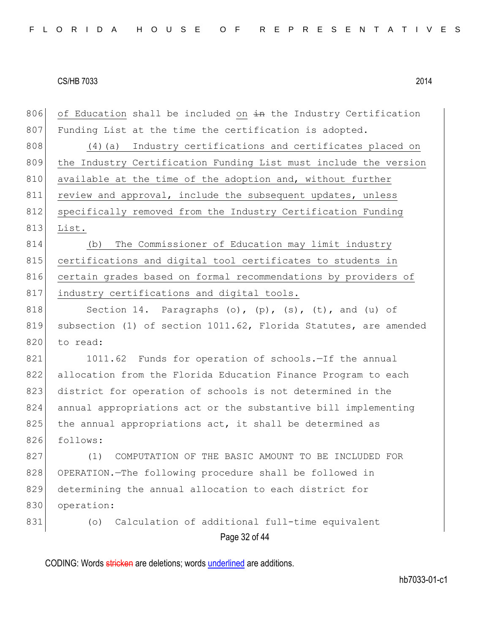| 806 | of Education shall be included on in the Industry Certification  |
|-----|------------------------------------------------------------------|
| 807 | Funding List at the time the certification is adopted.           |
| 808 | Industry certifications and certificates placed on<br>(4) (a)    |
| 809 | the Industry Certification Funding List must include the version |
| 810 | available at the time of the adoption and, without further       |
| 811 | review and approval, include the subsequent updates, unless      |
| 812 | specifically removed from the Industry Certification Funding     |
| 813 | List.                                                            |
| 814 | The Commissioner of Education may limit industry<br>(b)          |
| 815 | certifications and digital tool certificates to students in      |
| 816 | certain grades based on formal recommendations by providers of   |
| 817 | industry certifications and digital tools.                       |
| 818 | Section 14. Paragraphs (o), $(p)$ , $(s)$ , $(t)$ , and $(u)$ of |
| 819 | subsection (1) of section 1011.62, Florida Statutes, are amended |
| 820 | to read:                                                         |
| 821 | 1011.62 Funds for operation of schools.-If the annual            |
| 822 | allocation from the Florida Education Finance Program to each    |
| 823 | district for operation of schools is not determined in the       |
| 824 | annual appropriations act or the substantive bill implementing   |
| 825 | the annual appropriations act, it shall be determined as         |
| 826 | follows:                                                         |
| 827 | (1)<br>COMPUTATION OF THE BASIC AMOUNT TO BE INCLUDED FOR        |
| 828 | OPERATION. The following procedure shall be followed in          |
| 829 | determining the annual allocation to each district for           |
| 830 | operation:                                                       |
| 831 | Calculation of additional full-time equivalent<br>(0)            |
|     | Page 32 of 44                                                    |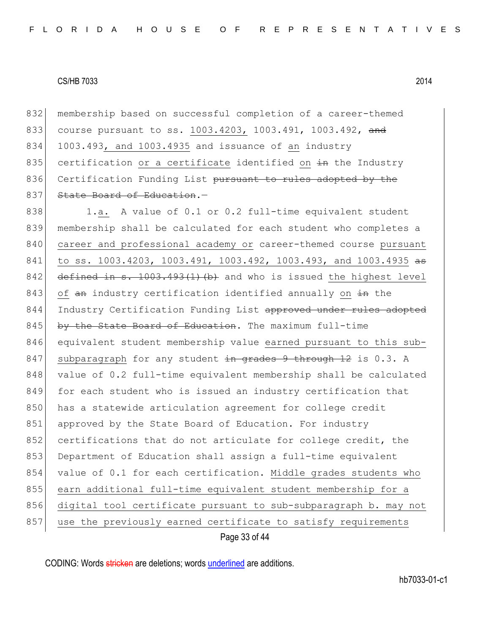832 membership based on successful completion of a career-themed 833 course pursuant to ss. 1003.4203, 1003.491, 1003.492, and 834 1003.493, and 1003.4935 and issuance of an industry 835 certification or a certificate identified on  $\pm$ n the Industry 836 Certification Funding List pursuant to rules adopted by the 837 State Board of Education.

838 1.a. A value of 0.1 or 0.2 full-time equivalent student 839 membership shall be calculated for each student who completes a 840 career and professional academy or career-themed course pursuant 841 to ss. 1003.4203, 1003.491, 1003.492, 1003.493, and 1003.4935 as 842 defined in s.  $1003.493(1)$  (b) and who is issued the highest level 843 of an industry certification identified annually on  $\pm$ n the 844 Industry Certification Funding List approved under rules adopted  $845$  by the State Board of Education. The maximum full-time 846 equivalent student membership value earned pursuant to this sub-847 subparagraph for any student in grades 9 through 12 is 0.3. A 848 value of 0.2 full-time equivalent membership shall be calculated 849 for each student who is issued an industry certification that 850 has a statewide articulation agreement for college credit 851 approved by the State Board of Education. For industry 852 certifications that do not articulate for college credit, the 853 Department of Education shall assign a full-time equivalent 854 value of 0.1 for each certification. Middle grades students who 855 earn additional full-time equivalent student membership for a 856 digital tool certificate pursuant to sub-subparagraph b. may not 857 use the previously earned certificate to satisfy requirements

Page 33 of 44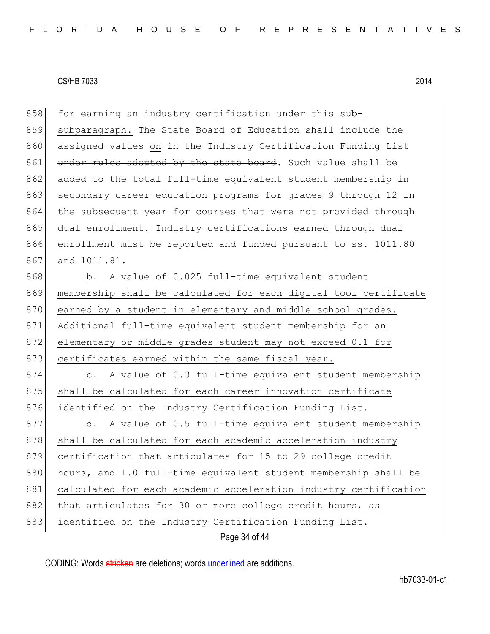| 858 | for earning an industry certification under this sub-               |
|-----|---------------------------------------------------------------------|
| 859 | subparagraph. The State Board of Education shall include the        |
| 860 | assigned values on in the Industry Certification Funding List       |
| 861 | under rules adopted by the state board. Such value shall be         |
| 862 | added to the total full-time equivalent student membership in       |
| 863 | secondary career education programs for grades 9 through 12 in      |
| 864 | the subsequent year for courses that were not provided through      |
| 865 | dual enrollment. Industry certifications earned through dual        |
| 866 | enrollment must be reported and funded pursuant to ss. 1011.80      |
| 867 | and 1011.81.                                                        |
| 868 | b. A value of 0.025 full-time equivalent student                    |
| 869 | membership shall be calculated for each digital tool certificate    |
| 870 | earned by a student in elementary and middle school grades.         |
| 871 | Additional full-time equivalent student membership for an           |
| 872 | elementary or middle grades student may not exceed 0.1 for          |
| 873 | certificates earned within the same fiscal year.                    |
| 874 | A value of 0.3 full-time equivalent student membership<br>$\circ$ . |
| 875 | shall be calculated for each career innovation certificate          |
| 876 | identified on the Industry Certification Funding List.              |
| 877 | A value of 0.5 full-time equivalent student membership<br>d.        |
| 878 | shall be calculated for each academic acceleration industry         |
| 879 | certification that articulates for 15 to 29 college credit          |
| 880 | hours, and 1.0 full-time equivalent student membership shall be     |
| 881 | calculated for each academic acceleration industry certification    |
| 882 | that articulates for 30 or more college credit hours, as            |
| 883 | identified on the Industry Certification Funding List.              |
|     | Page 34 of 44                                                       |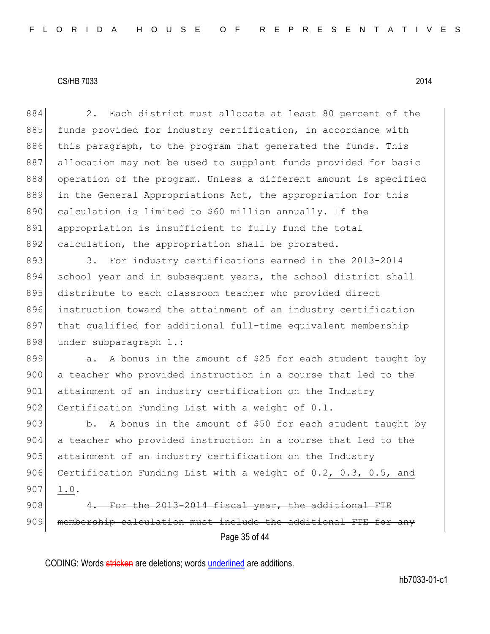| 884 | 2. Each district must allocate at least 80 percent of the        |
|-----|------------------------------------------------------------------|
| 885 | funds provided for industry certification, in accordance with    |
| 886 | this paragraph, to the program that generated the funds. This    |
| 887 | allocation may not be used to supplant funds provided for basic  |
| 888 | operation of the program. Unless a different amount is specified |
| 889 | in the General Appropriations Act, the appropriation for this    |
| 890 | calculation is limited to \$60 million annually. If the          |
| 891 | appropriation is insufficient to fully fund the total            |
| 892 | calculation, the appropriation shall be prorated.                |
| 893 | For industry certifications earned in the 2013-2014<br>3.        |
| 894 | school year and in subsequent years, the school district shall   |
| 895 | distribute to each classroom teacher who provided direct         |
| 896 | instruction toward the attainment of an industry certification   |
| 897 | that qualified for additional full-time equivalent membership    |
| 898 | under subparagraph 1.:                                           |
| 899 | A bonus in the amount of \$25 for each student taught by<br>a.   |
| 900 | a teacher who provided instruction in a course that led to the   |
| 901 | attainment of an industry certification on the Industry          |
| 902 | Certification Funding List with a weight of 0.1.                 |
| 903 | A bonus in the amount of \$50 for each student taught by<br>b.   |
| 904 | a teacher who provided instruction in a course that led to the   |
| 905 | attainment of an industry certification on the Industry          |
| 906 | Certification Funding List with a weight of 0.2, 0.3, 0.5, and   |
| 907 | 1.0.                                                             |
| 908 | For the 2013-2014 fiscal year, the additional FTE                |
| 909 | membership calculation must include the additional FTE for any   |
|     | Page 35 of 44                                                    |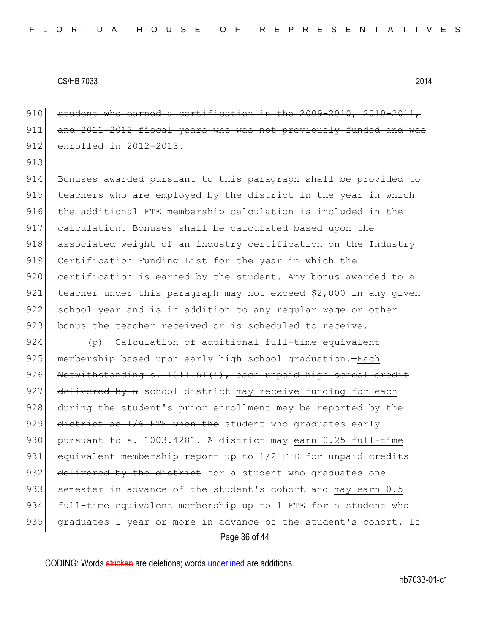910 student who earned a certification in the 2009-2010, 2010-2011, 911 and 2011-2012 fiscal years who was not previously funded and 912 enrolled in 2012-2013.

913

914 Bonuses awarded pursuant to this paragraph shall be provided to 915 teachers who are employed by the district in the year in which 916 the additional FTE membership calculation is included in the 917 calculation. Bonuses shall be calculated based upon the 918 associated weight of an industry certification on the Industry 919 Certification Funding List for the year in which the 920 certification is earned by the student. Any bonus awarded to a 921 teacher under this paragraph may not exceed \$2,000 in any given 922 school year and is in addition to any regular wage or other 923 bonus the teacher received or is scheduled to receive.

Page 36 of 44 924 (p) Calculation of additional full-time equivalent 925 membership based upon early high school graduation.—Each 926 Notwithstanding s. 1011.61(4), each unpaid high school credit 927 delivered by a school district may receive funding for each 928 during the student's prior enrollment may be reported by the 929 district as  $1/6$  FTE when the student who graduates early 930 pursuant to s. 1003.4281. A district may earn 0.25 full-time 931 equivalent membership  $\frac{1}{2}$  report up to  $\frac{1}{2}$  FTE for unpaid credits 932 delivered by the district for a student who graduates one 933 semester in advance of the student's cohort and may earn 0.5 934 full-time equivalent membership up to 1 FTE for a student who 935 graduates 1 year or more in advance of the student's cohort. If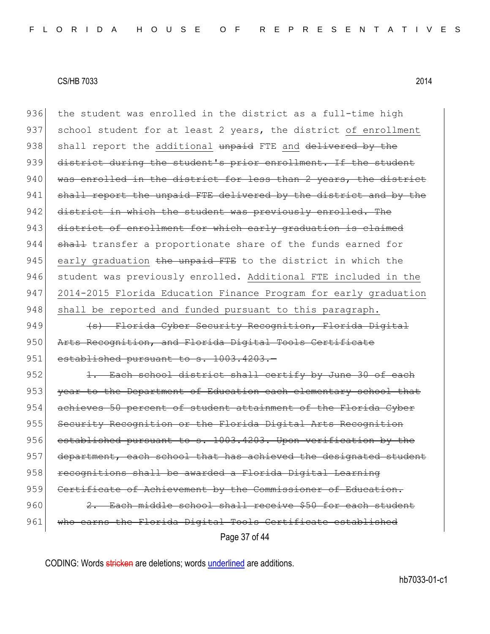Page 37 of 44 936 the student was enrolled in the district as a full-time high 937 school student for at least 2 years, the district of enrollment 938 shall report the additional unpaid FTE and delivered by the 939 district during the student's prior enrollment. If the student 940 was enrolled in the district for less than 2 years, the district 941 shall report the unpaid FTE delivered by the district and by the 942 district in which the student was previously enrolled. The 943 district of enrollment for which early graduation is claimed 944 shall transfer a proportionate share of the funds earned for 945 early graduation the unpaid FTE to the district in which the 946 student was previously enrolled. Additional FTE included in the 947 2014-2015 Florida Education Finance Program for early graduation 948 shall be reported and funded pursuant to this paragraph. 949 (s) Florida Cyber Security Recognition, Florida Digital 950 Arts Recognition, and Florida Digital Tools Certificate 951 established pursuant to s. 1003.4203.-952 1. Each school district shall certify by June 30 of each 953 year to the Department of Education each elementary school that 954 achieves 50 percent of student attainment of the Florida Cyber 955 Security Recognition or the Florida Digital Arts Recognition 956 established pursuant to s. 1003.4203. Upon verification by the 957 department, each school that has achieved the designated student 958 recognitions shall be awarded a Florida Digital Learning 959 Certificate of Achievement by the Commissioner of Education. 960 2. Each middle school shall receive \$50 for each student 961 | who earns the Florida Digital Tools Certificate established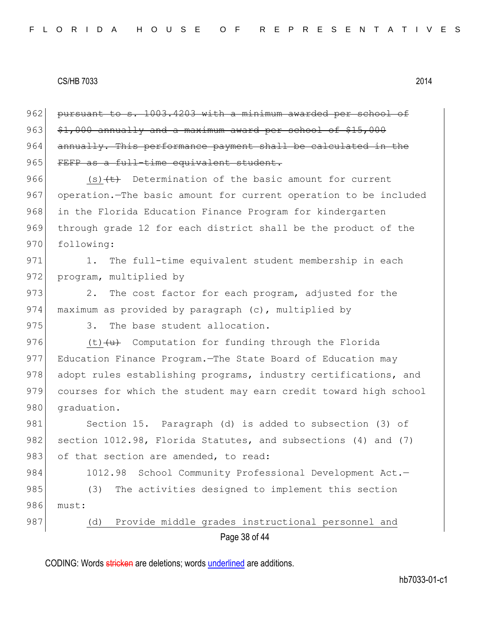Page 38 of 44 962 pursuant to s. 1003.4203 with a minimum awarded per school of  $963$   $$1,000$  annually and a maximum award per school of  $$15,000$ 964 annually. This performance payment shall be calculated in the 965 FEFP as a full-time equivalent student. 966 (s) $\left\{t\right\}$  Determination of the basic amount for current 967 operation.—The basic amount for current operation to be included 968 in the Florida Education Finance Program for kindergarten 969 through grade 12 for each district shall be the product of the 970 following: 971 1. The full-time equivalent student membership in each 972 program, multiplied by 973 2. The cost factor for each program, adjusted for the 974 maximum as provided by paragraph (c), multiplied by 975 3. The base student allocation. 976  $(t)$   $\left\{\frac{u}{u}\right\}$  Computation for funding through the Florida 977 Education Finance Program. The State Board of Education may 978 adopt rules establishing programs, industry certifications, and 979 courses for which the student may earn credit toward high school 980 graduation. 981 Section 15. Paragraph (d) is added to subsection (3) of 982 section 1012.98, Florida Statutes, and subsections (4) and (7) 983 of that section are amended, to read: 984 1012.98 School Community Professional Development Act.-985 (3) The activities designed to implement this section 986 must: 987 (d) Provide middle grades instructional personnel and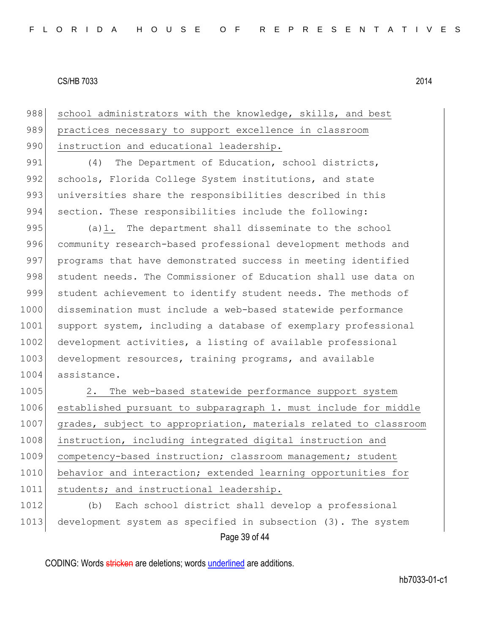988 school administrators with the knowledge, skills, and best 989 practices necessary to support excellence in classroom 990 instruction and educational leadership.

991 (4) The Department of Education, school districts, 992 schools, Florida College System institutions, and state 993 universities share the responsibilities described in this 994 section. These responsibilities include the following:

995 (a)1. The department shall disseminate to the school 996 community research-based professional development methods and 997 programs that have demonstrated success in meeting identified 998 student needs. The Commissioner of Education shall use data on 999 student achievement to identify student needs. The methods of 1000 dissemination must include a web-based statewide performance 1001 support system, including a database of exemplary professional 1002 development activities, a listing of available professional 1003 development resources, training programs, and available 1004 assistance.

1005 2. The web-based statewide performance support system 1006 established pursuant to subparagraph 1. must include for middle 1007 grades, subject to appropriation, materials related to classroom 1008 instruction, including integrated digital instruction and 1009 competency-based instruction; classroom management; student 1010 behavior and interaction; extended learning opportunities for 1011 students; and instructional leadership.

Page 39 of 44 1012 (b) Each school district shall develop a professional 1013 development system as specified in subsection (3). The system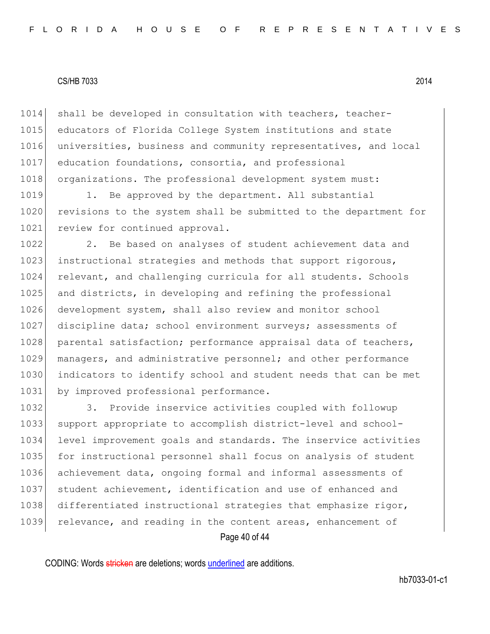1014 shall be developed in consultation with teachers, teacher-1015 educators of Florida College System institutions and state 1016 universities, business and community representatives, and local 1017 education foundations, consortia, and professional 1018 organizations. The professional development system must:

1019 1. Be approved by the department. All substantial 1020 revisions to the system shall be submitted to the department for 1021 review for continued approval.

1022 2. Be based on analyses of student achievement data and 1023 instructional strategies and methods that support rigorous, 1024 relevant, and challenging curricula for all students. Schools 1025 and districts, in developing and refining the professional 1026 development system, shall also review and monitor school 1027 discipline data; school environment surveys; assessments of 1028 parental satisfaction; performance appraisal data of teachers, 1029 managers, and administrative personnel; and other performance 1030 indicators to identify school and student needs that can be met 1031 by improved professional performance.

Page 40 of 44 1032 3. Provide inservice activities coupled with followup 1033 support appropriate to accomplish district-level and school-1034 level improvement goals and standards. The inservice activities 1035 for instructional personnel shall focus on analysis of student 1036 achievement data, ongoing formal and informal assessments of 1037 student achievement, identification and use of enhanced and 1038 differentiated instructional strategies that emphasize rigor, 1039 relevance, and reading in the content areas, enhancement of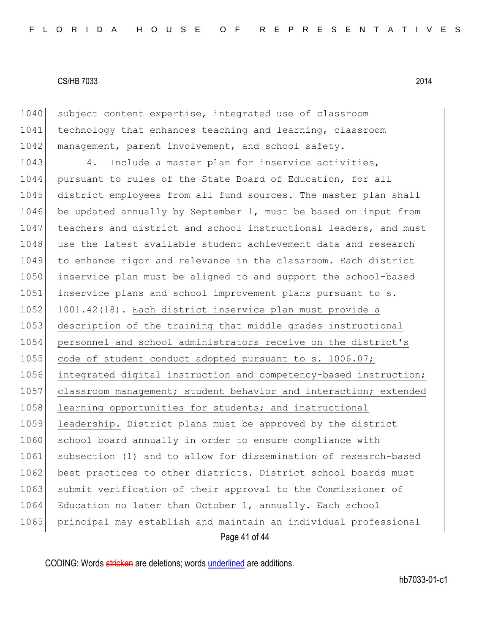1040 subject content expertise, integrated use of classroom 1041 technology that enhances teaching and learning, classroom 1042 management, parent involvement, and school safety.

Page 41 of 44 1043 4. Include a master plan for inservice activities, 1044 pursuant to rules of the State Board of Education, for all 1045 district employees from all fund sources. The master plan shall 1046 be updated annually by September 1, must be based on input from 1047 teachers and district and school instructional leaders, and must 1048 use the latest available student achievement data and research 1049 to enhance rigor and relevance in the classroom. Each district 1050 inservice plan must be aligned to and support the school-based 1051 inservice plans and school improvement plans pursuant to s. 1052 1001.42(18). Each district inservice plan must provide a 1053 description of the training that middle grades instructional 1054 personnel and school administrators receive on the district's 1055 code of student conduct adopted pursuant to s. 1006.07; 1056 integrated digital instruction and competency-based instruction; 1057 classroom management; student behavior and interaction; extended 1058 learning opportunities for students; and instructional 1059 leadership. District plans must be approved by the district 1060 school board annually in order to ensure compliance with 1061 subsection (1) and to allow for dissemination of research-based 1062 best practices to other districts. District school boards must 1063 submit verification of their approval to the Commissioner of 1064 Education no later than October 1, annually. Each school 1065 principal may establish and maintain an individual professional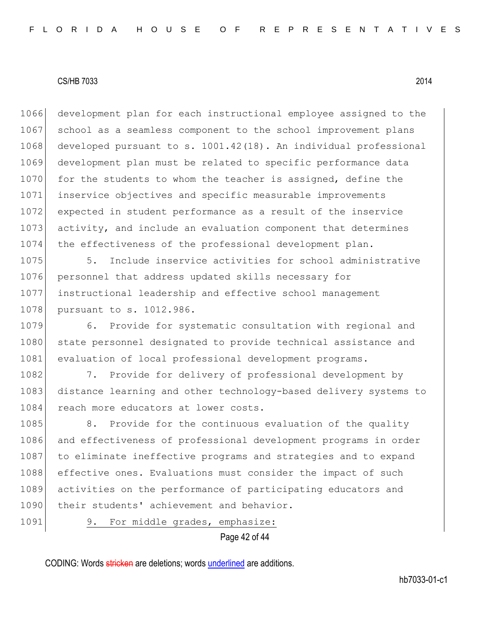1066 development plan for each instructional employee assigned to the 1067 school as a seamless component to the school improvement plans 1068 developed pursuant to s. 1001.42(18). An individual professional 1069 development plan must be related to specific performance data 1070 for the students to whom the teacher is assigned, define the 1071 inservice objectives and specific measurable improvements 1072 expected in student performance as a result of the inservice 1073 activity, and include an evaluation component that determines 1074 the effectiveness of the professional development plan.

1075 5. Include inservice activities for school administrative 1076 personnel that address updated skills necessary for 1077 instructional leadership and effective school management 1078 pursuant to s. 1012.986.

1079 6. Provide for systematic consultation with regional and 1080 state personnel designated to provide technical assistance and 1081 evaluation of local professional development programs.

1082 7. Provide for delivery of professional development by 1083 distance learning and other technology-based delivery systems to 1084 reach more educators at lower costs.

1085 8. Provide for the continuous evaluation of the quality 1086 and effectiveness of professional development programs in order 1087 to eliminate ineffective programs and strategies and to expand 1088 effective ones. Evaluations must consider the impact of such 1089 activities on the performance of participating educators and 1090 their students' achievement and behavior.

1091 9. For middle grades, emphasize:

Page 42 of 44

CODING: Words stricken are deletions; words underlined are additions.

hb7033-01-c1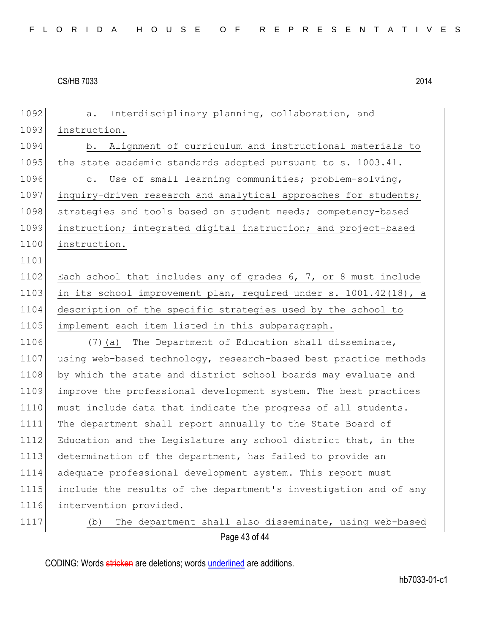| 1092 | Interdisciplinary planning, collaboration, and<br>а.             |
|------|------------------------------------------------------------------|
| 1093 | instruction.                                                     |
| 1094 | b. Alignment of curriculum and instructional materials to        |
| 1095 | the state academic standards adopted pursuant to s. 1003.41.     |
| 1096 | c. Use of small learning communities; problem-solving,           |
| 1097 | inquiry-driven research and analytical approaches for students;  |
| 1098 | strategies and tools based on student needs; competency-based    |
| 1099 | instruction; integrated digital instruction; and project-based   |
| 1100 | instruction.                                                     |
| 1101 |                                                                  |
| 1102 | Each school that includes any of grades 6, 7, or 8 must include  |
| 1103 | in its school improvement plan, required under s. 1001.42(18), a |
| 1104 | description of the specific strategies used by the school to     |
| 1105 | implement each item listed in this subparagraph.                 |
| 1106 | (7) (a) The Department of Education shall disseminate,           |
| 1107 | using web-based technology, research-based best practice methods |
| 1108 | by which the state and district school boards may evaluate and   |
| 1109 | improve the professional development system. The best practices  |
| 1110 | must include data that indicate the progress of all students.    |
| 1111 | The department shall report annually to the State Board of       |
| 1112 | Education and the Legislature any school district that, in the   |
| 1113 | determination of the department, has failed to provide an        |
| 1114 | adequate professional development system. This report must       |
| 1115 | include the results of the department's investigation and of any |
| 1116 | intervention provided.                                           |
| 1117 | The department shall also disseminate, using web-based<br>(b)    |
|      |                                                                  |

Page 43 of 44